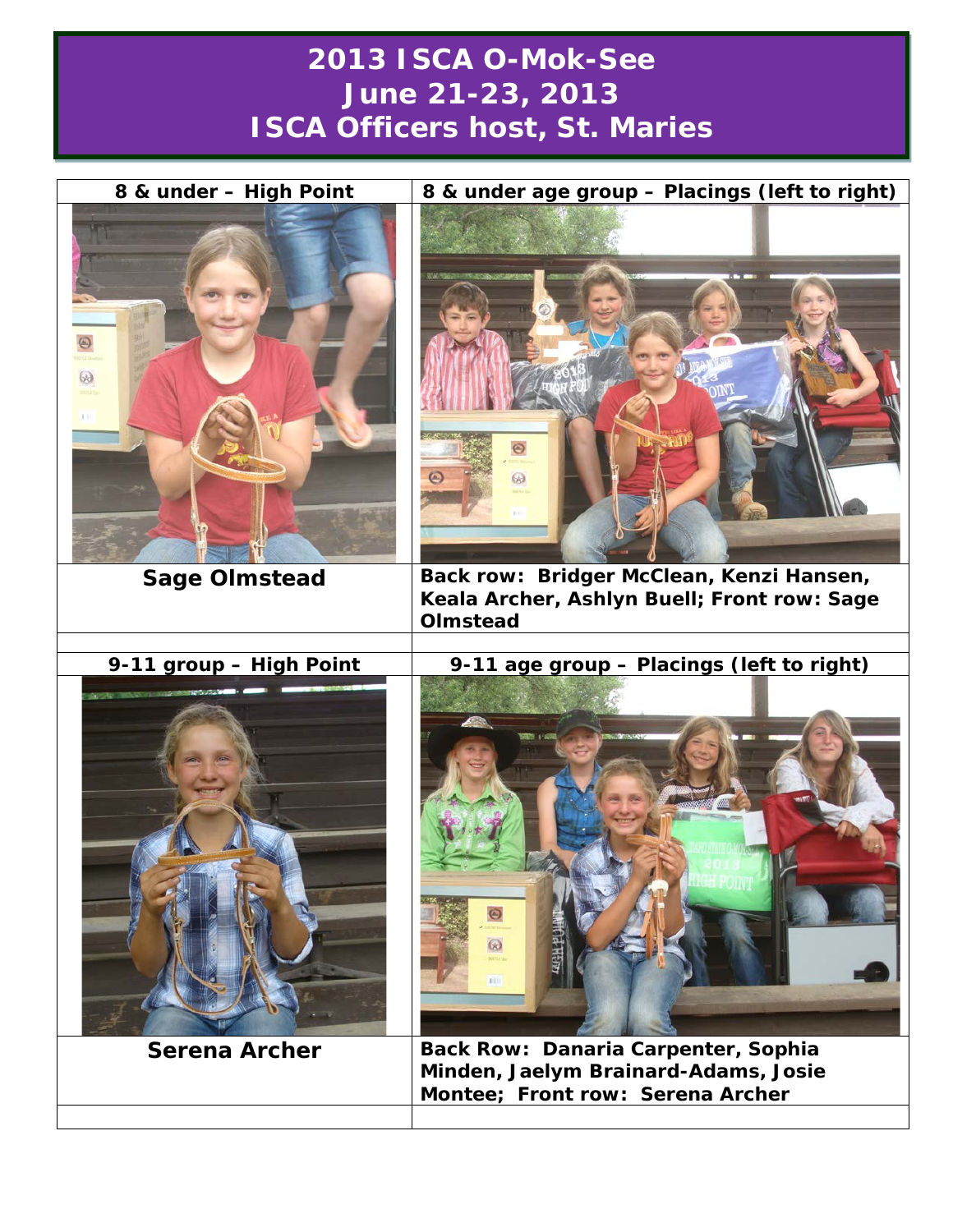## **2013 ISCA O-Mok-See June 21-23, 2013 ISCA Officers host, St. Maries**

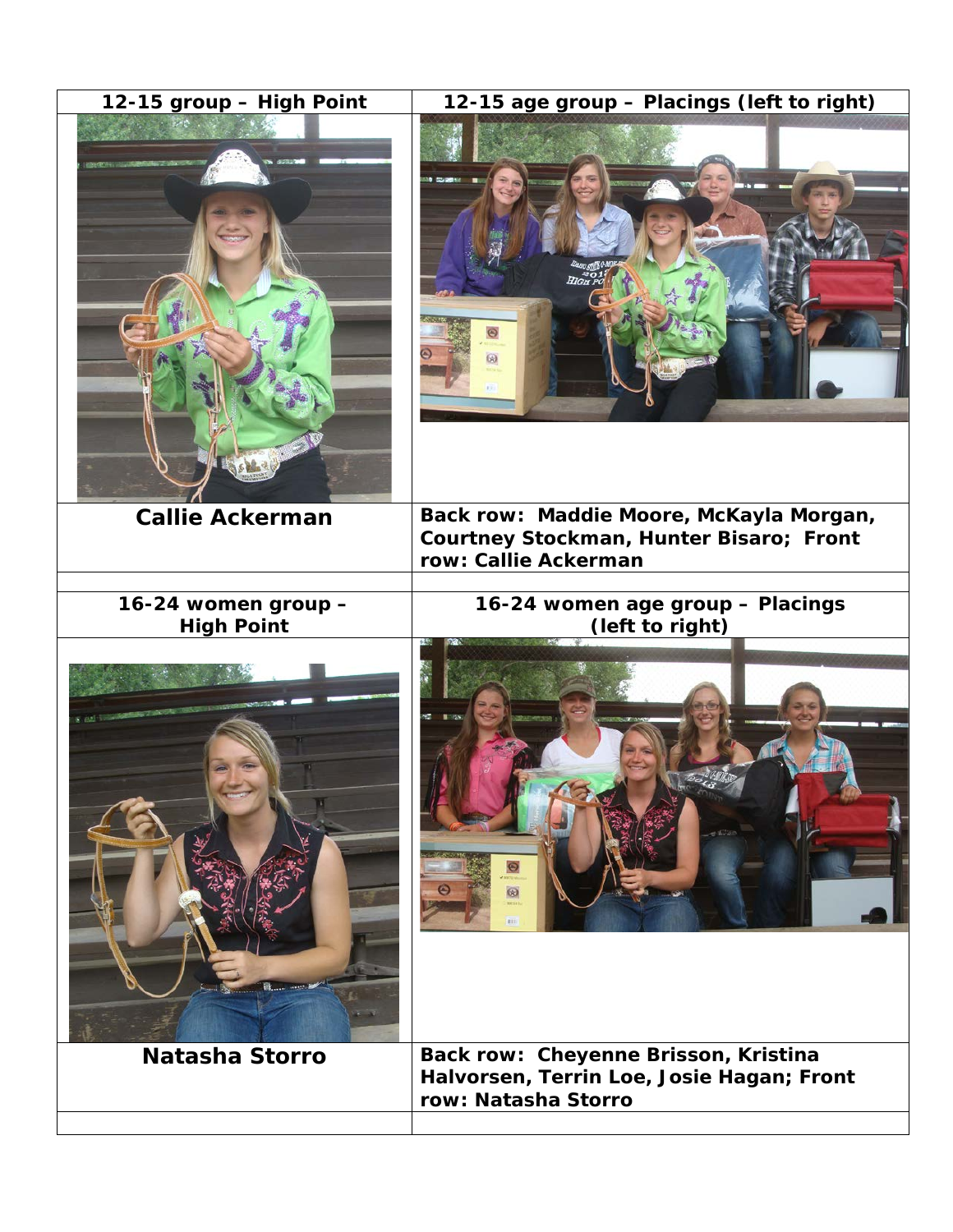| 12-15 group - High Point                 | 12-15 age group - Placings (left to right)<br>as coreena                                                   |
|------------------------------------------|------------------------------------------------------------------------------------------------------------|
| <b>Callie Ackerman</b>                   | Back row: Maddie Moore, McKayla Morgan,<br>Courtney Stockman, Hunter Bisaro; Front<br>row: Callie Ackerman |
| 16-24 women group -<br><b>High Point</b> | 16-24 women age group - Placings<br>(left to right)                                                        |
| <b>STATE IN THE 2</b>                    | ⊛                                                                                                          |
| <b>Natasha Storro</b>                    | Back row: Cheyenne Brisson, Kristina<br>Halvorsen, Terrin Loe, Josie Hagan; Front<br>row: Natasha Storro   |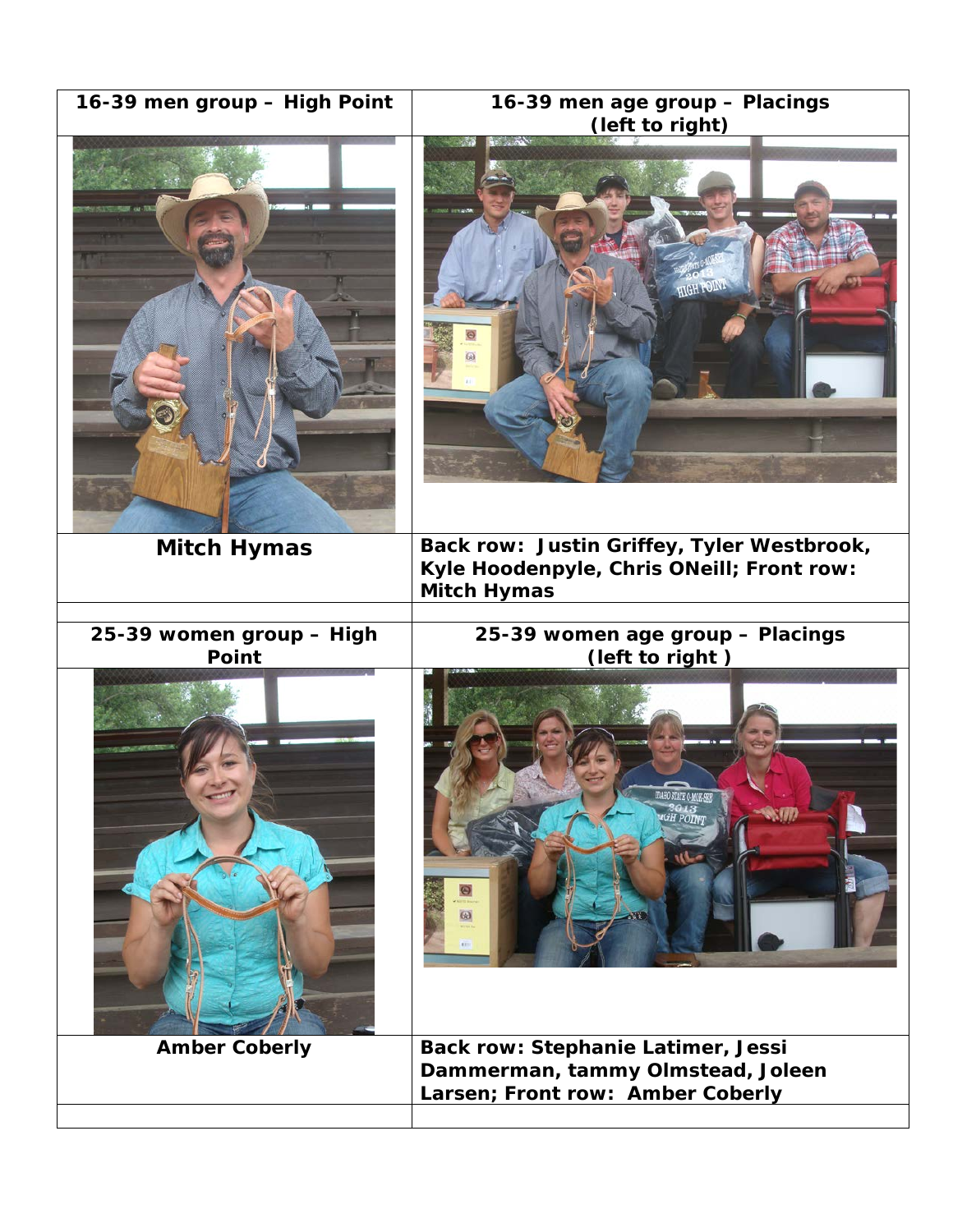| 16-39 men group - High Point             | 16-39 men age group - Placings<br>(left to right)                                                                  |
|------------------------------------------|--------------------------------------------------------------------------------------------------------------------|
|                                          | <b>HIGH POINT</b>                                                                                                  |
| <b>Mitch Hymas</b>                       | Back row: Justin Griffey, Tyler Westbrook,<br>Kyle Hoodenpyle, Chris ONeill; Front row:<br><b>Mitch Hymas</b>      |
|                                          |                                                                                                                    |
| 25-39 women group - High<br><b>Point</b> | 25-39 women age group - Placings<br>(left to right)<br>ω                                                           |
| <b>Amber Coberly</b>                     | <b>Back row: Stephanie Latimer, Jessi</b><br>Dammerman, tammy Olmstead, Joleen<br>Larsen; Front row: Amber Coberly |